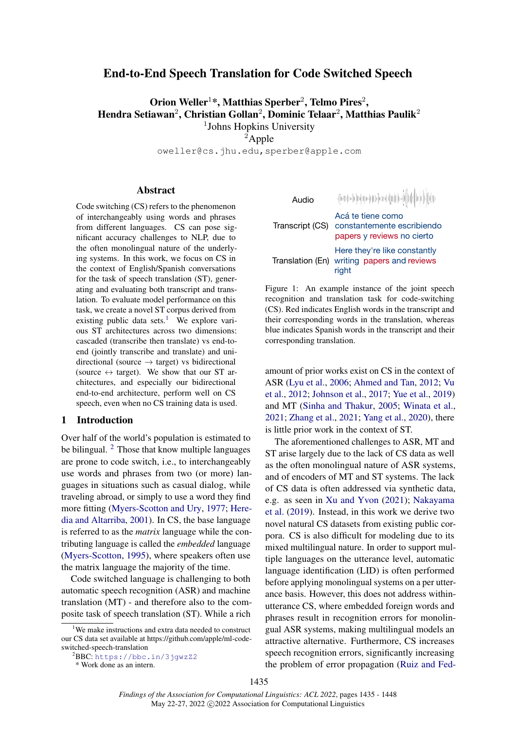# End-to-End Speech Translation for Code Switched Speech

Orion Weller<sup>1</sup>\*, Matthias Sperber<sup>2</sup>, Telmo Pires<sup>2</sup>, Hendra Setiawan<sup>2</sup>, Christian Gollan<sup>2</sup>, Dominic Telaar<sup>2</sup>, Matthias Paulik<sup>2</sup> <sup>1</sup>Johns Hopkins University

 ${}^{2}$ Apple

oweller@cs.jhu.edu,sperber@apple.com

#### Abstract

Code switching (CS) refers to the phenomenon of interchangeably using words and phrases from different languages. CS can pose significant accuracy challenges to NLP, due to the often monolingual nature of the underlying systems. In this work, we focus on CS in the context of English/Spanish conversations for the task of speech translation (ST), generating and evaluating both transcript and translation. To evaluate model performance on this task, we create a novel ST corpus derived from existing public data sets.<sup>[1](#page-0-0)</sup> We explore various ST architectures across two dimensions: cascaded (transcribe then translate) vs end-toend (jointly transcribe and translate) and unidirectional (source  $\rightarrow$  target) vs bidirectional (source  $\leftrightarrow$  target). We show that our ST architectures, and especially our bidirectional end-to-end architecture, perform well on CS speech, even when no CS training data is used.

#### 1 Introduction

Over half of the world's population is estimated to be bilingual. <sup>[2](#page-0-1)</sup> Those that know multiple languages are prone to code switch, i.e., to interchangeably use words and phrases from two (or more) languages in situations such as casual dialog, while traveling abroad, or simply to use a word they find more fitting [\(Myers-Scotton and Ury,](#page-9-0) [1977;](#page-9-0) [Here](#page-8-0)[dia and Altarriba,](#page-8-0) [2001\)](#page-8-0). In CS, the base language is referred to as the *matrix* language while the contributing language is called the *embedded* language [\(Myers-Scotton,](#page-9-1) [1995\)](#page-9-1), where speakers often use the matrix language the majority of the time.

Code switched language is challenging to both automatic speech recognition (ASR) and machine translation (MT) - and therefore also to the composite task of speech translation (ST). While a rich

```
* Work done as an intern.
```
<span id="page-0-2"></span>

| Audio            | heddia-blin-bhadaigeach an-b-bhadai                                           |
|------------------|-------------------------------------------------------------------------------|
| Transcript (CS)  | Acá te tiene como<br>constantemente escribiendo<br>papers y reviews no cierto |
| Translation (En) | Here they're like constantly<br>writing papers and reviews<br>riaht           |

Figure 1: An example instance of the joint speech recognition and translation task for code-switching (CS). Red indicates English words in the transcript and their corresponding words in the translation, whereas blue indicates Spanish words in the transcript and their corresponding translation.

amount of prior works exist on CS in the context of ASR [\(Lyu et al.,](#page-9-2) [2006;](#page-9-2) [Ahmed and Tan,](#page-8-1) [2012;](#page-8-1) [Vu](#page-10-0) [et al.,](#page-10-0) [2012;](#page-10-0) [Johnson et al.,](#page-8-2) [2017;](#page-8-2) [Yue et al.,](#page-10-1) [2019\)](#page-10-1) and MT [\(Sinha and Thakur,](#page-9-3) [2005;](#page-9-3) [Winata et al.,](#page-10-2) [2021;](#page-10-2) [Zhang et al.,](#page-10-3) [2021;](#page-10-3) [Yang et al.,](#page-10-4) [2020\)](#page-10-4), there is little prior work in the context of ST.

The aforementioned challenges to ASR, MT and ST arise largely due to the lack of CS data as well as the often monolingual nature of ASR systems, and of encoders of MT and ST systems. The lack of CS data is often addressed via synthetic data, e.g. as seen in [Xu and Yvon](#page-10-5) [\(2021\)](#page-10-5); [Nakayama](#page-9-4) [et al.](#page-9-4) [\(2019\)](#page-9-4). Instead, in this work we derive two novel natural CS datasets from existing public corpora. CS is also difficult for modeling due to its mixed multilingual nature. In order to support multiple languages on the utterance level, automatic language identification (LID) is often performed before applying monolingual systems on a per utterance basis. However, this does not address withinutterance CS, where embedded foreign words and phrases result in recognition errors for monolingual ASR systems, making multilingual models an attractive alternative. Furthermore, CS increases speech recognition errors, significantly increasing the problem of error propagation [\(Ruiz and Fed-](#page-9-5)

<span id="page-0-0"></span><sup>1</sup>We make instructions and extra data needed to construct our CS data set available at https://github.com/apple/ml-codeswitched-speech-translation

<span id="page-0-1"></span> $2$ BBC: <https://bbc.in/3jgwzZ2>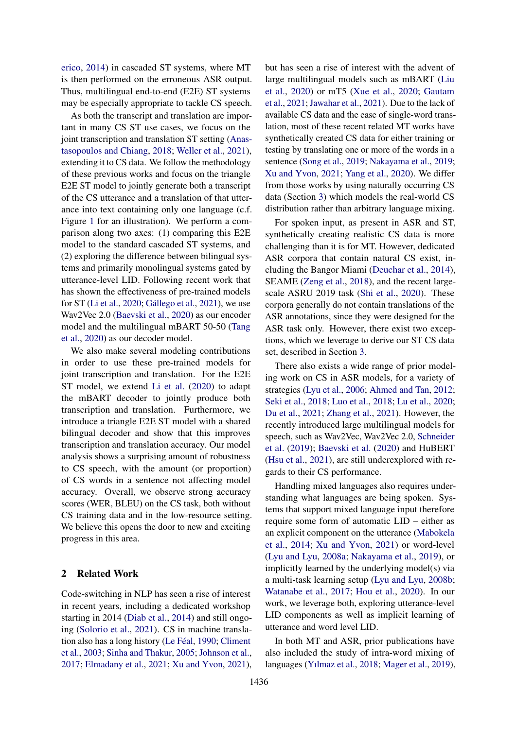[erico,](#page-9-5) [2014\)](#page-9-5) in cascaded ST systems, where MT is then performed on the erroneous ASR output. Thus, multilingual end-to-end (E2E) ST systems may be especially appropriate to tackle CS speech.

As both the transcript and translation are important in many CS ST use cases, we focus on the joint transcription and translation ST setting [\(Anas](#page-8-3)[tasopoulos and Chiang,](#page-8-3) [2018;](#page-8-3) [Weller et al.,](#page-10-6) [2021\)](#page-10-6), extending it to CS data. We follow the methodology of these previous works and focus on the triangle E2E ST model to jointly generate both a transcript of the CS utterance and a translation of that utterance into text containing only one language (c.f. Figure [1](#page-0-2) for an illustration). We perform a comparison along two axes: (1) comparing this E2E model to the standard cascaded ST systems, and (2) exploring the difference between bilingual systems and primarily monolingual systems gated by utterance-level LID. Following recent work that has shown the effectiveness of pre-trained models for  $ST$  [\(Li et al.,](#page-9-6) [2020;](#page-9-6) Gállego et al., [2021\)](#page-8-4), we use Wav2Vec 2.0 [\(Baevski et al.,](#page-8-5) [2020\)](#page-8-5) as our encoder model and the multilingual mBART 50-50 [\(Tang](#page-10-7) [et al.,](#page-10-7) [2020\)](#page-10-7) as our decoder model.

We also make several modeling contributions in order to use these pre-trained models for joint transcription and translation. For the E2E ST model, we extend [Li et al.](#page-9-6) [\(2020\)](#page-9-6) to adapt the mBART decoder to jointly produce both transcription and translation. Furthermore, we introduce a triangle E2E ST model with a shared bilingual decoder and show that this improves transcription and translation accuracy. Our model analysis shows a surprising amount of robustness to CS speech, with the amount (or proportion) of CS words in a sentence not affecting model accuracy. Overall, we observe strong accuracy scores (WER, BLEU) on the CS task, both without CS training data and in the low-resource setting. We believe this opens the door to new and exciting progress in this area.

# 2 Related Work

Code-switching in NLP has seen a rise of interest in recent years, including a dedicated workshop starting in 2014 [\(Diab et al.,](#page-8-6) [2014\)](#page-8-6) and still ongoing [\(Solorio et al.,](#page-9-7) [2021\)](#page-9-7). CS in machine transla-tion also has a long history (Le Féal, [1990;](#page-9-8) [Climent](#page-8-7) [et al.,](#page-8-7) [2003;](#page-8-7) [Sinha and Thakur,](#page-9-3) [2005;](#page-9-3) [Johnson et al.,](#page-8-2) [2017;](#page-8-2) [Elmadany et al.,](#page-8-8) [2021;](#page-8-8) [Xu and Yvon,](#page-10-5) [2021\)](#page-10-5),

but has seen a rise of interest with the advent of large multilingual models such as mBART [\(Liu](#page-9-9) [et al.,](#page-9-9) [2020\)](#page-9-9) or mT5 [\(Xue et al.,](#page-10-8) [2020;](#page-10-8) [Gautam](#page-8-9) [et al.,](#page-8-9) [2021;](#page-8-9) [Jawahar et al.,](#page-8-10) [2021\)](#page-8-10). Due to the lack of available CS data and the ease of single-word translation, most of these recent related MT works have synthetically created CS data for either training or testing by translating one or more of the words in a sentence [\(Song et al.,](#page-10-9) [2019;](#page-10-9) [Nakayama et al.,](#page-9-4) [2019;](#page-9-4) [Xu and Yvon,](#page-10-5) [2021;](#page-10-5) [Yang et al.,](#page-10-4) [2020\)](#page-10-4). We differ from those works by using naturally occurring CS data (Section [3\)](#page-2-0) which models the real-world CS distribution rather than arbitrary language mixing.

For spoken input, as present in ASR and ST, synthetically creating realistic CS data is more challenging than it is for MT. However, dedicated ASR corpora that contain natural CS exist, including the Bangor Miami [\(Deuchar et al.,](#page-8-11) [2014\)](#page-8-11), SEAME [\(Zeng et al.,](#page-10-10) [2018\)](#page-10-10), and the recent largescale ASRU 2019 task [\(Shi et al.,](#page-9-10) [2020\)](#page-9-10). These corpora generally do not contain translations of the ASR annotations, since they were designed for the ASR task only. However, there exist two exceptions, which we leverage to derive our ST CS data set, described in Section [3.](#page-2-0)

There also exists a wide range of prior modeling work on CS in ASR models, for a variety of strategies [\(Lyu et al.,](#page-9-2) [2006;](#page-9-2) [Ahmed and Tan,](#page-8-1) [2012;](#page-8-1) [Seki et al.,](#page-9-11) [2018;](#page-9-11) [Luo et al.,](#page-9-12) [2018;](#page-9-12) [Lu et al.,](#page-9-13) [2020;](#page-9-13) [Du et al.,](#page-8-12) [2021;](#page-8-12) [Zhang et al.,](#page-10-3) [2021\)](#page-10-3). However, the recently introduced large multilingual models for speech, such as Wav2Vec, Wav2Vec 2.0, [Schneider](#page-9-14) [et al.](#page-9-14) [\(2019\)](#page-9-14); [Baevski et al.](#page-8-5) [\(2020\)](#page-8-5) and HuBERT [\(Hsu et al.,](#page-8-13) [2021\)](#page-8-13), are still underexplored with regards to their CS performance.

Handling mixed languages also requires understanding what languages are being spoken. Systems that support mixed language input therefore require some form of automatic LID – either as an explicit component on the utterance [\(Mabokela](#page-9-15) [et al.,](#page-9-15) [2014;](#page-9-15) [Xu and Yvon,](#page-10-5) [2021\)](#page-10-5) or word-level [\(Lyu and Lyu,](#page-9-16) [2008a;](#page-9-16) [Nakayama et al.,](#page-9-4) [2019\)](#page-9-4), or implicitly learned by the underlying model(s) via a multi-task learning setup [\(Lyu and Lyu,](#page-9-17) [2008b;](#page-9-17) [Watanabe et al.,](#page-10-11) [2017;](#page-10-11) [Hou et al.,](#page-8-14) [2020\)](#page-8-14). In our work, we leverage both, exploring utterance-level LID components as well as implicit learning of utterance and word level LID.

In both MT and ASR, prior publications have also included the study of intra-word mixing of languages [\(Yılmaz et al.,](#page-10-12) [2018;](#page-10-12) [Mager et al.,](#page-9-18) [2019\)](#page-9-18),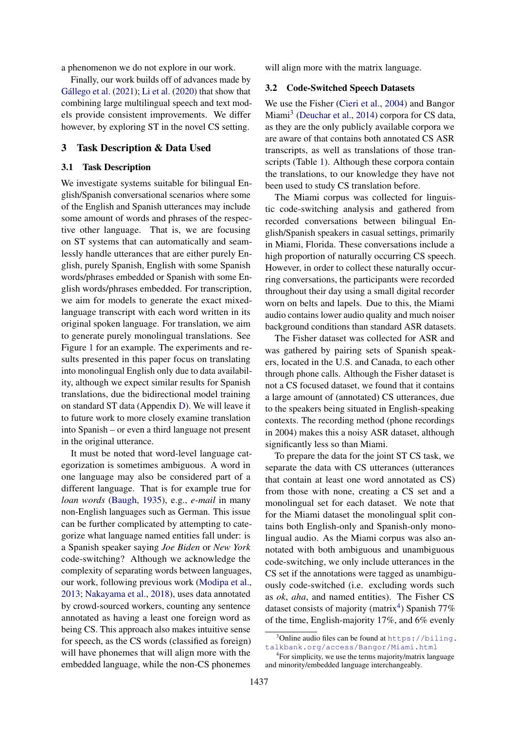a phenomenon we do not explore in our work.

Finally, our work builds off of advances made by Gállego et al.  $(2021)$ ; [Li et al.](#page-9-6)  $(2020)$  that show that combining large multilingual speech and text models provide consistent improvements. We differ however, by exploring ST in the novel CS setting.

# <span id="page-2-0"></span>3 Task Description & Data Used

# 3.1 Task Description

We investigate systems suitable for bilingual English/Spanish conversational scenarios where some of the English and Spanish utterances may include some amount of words and phrases of the respective other language. That is, we are focusing on ST systems that can automatically and seamlessly handle utterances that are either purely English, purely Spanish, English with some Spanish words/phrases embedded or Spanish with some English words/phrases embedded. For transcription, we aim for models to generate the exact mixedlanguage transcript with each word written in its original spoken language. For translation, we aim to generate purely monolingual translations. See Figure [1](#page-0-2) for an example. The experiments and results presented in this paper focus on translating into monolingual English only due to data availability, although we expect similar results for Spanish translations, due the bidirectional model training on standard ST data (Appendix [D\)](#page-11-0). We will leave it to future work to more closely examine translation into Spanish – or even a third language not present in the original utterance.

It must be noted that word-level language categorization is sometimes ambiguous. A word in one language may also be considered part of a different language. That is for example true for *loan words* [\(Baugh,](#page-8-15) [1935\)](#page-8-15), e.g., *e-mail* in many non-English languages such as German. This issue can be further complicated by attempting to categorize what language named entities fall under: is a Spanish speaker saying *Joe Biden* or *New York* code-switching? Although we acknowledge the complexity of separating words between languages, our work, following previous work [\(Modipa et al.,](#page-9-19) [2013;](#page-9-19) [Nakayama et al.,](#page-9-20) [2018\)](#page-9-20), uses data annotated by crowd-sourced workers, counting any sentence annotated as having a least one foreign word as being CS. This approach also makes intuitive sense for speech, as the CS words (classified as foreign) will have phonemes that will align more with the embedded language, while the non-CS phonemes

will align more with the matrix language.

#### 3.2 Code-Switched Speech Datasets

We use the Fisher [\(Cieri et al.,](#page-8-16) [2004\)](#page-8-16) and Bangor Miami<sup>[3](#page-2-1)</sup> [\(Deuchar et al.,](#page-8-11) [2014\)](#page-8-11) corpora for CS data, as they are the only publicly available corpora we are aware of that contains both annotated CS ASR transcripts, as well as translations of those transcripts (Table [1\)](#page-3-0). Although these corpora contain the translations, to our knowledge they have not been used to study CS translation before.

The Miami corpus was collected for linguistic code-switching analysis and gathered from recorded conversations between bilingual English/Spanish speakers in casual settings, primarily in Miami, Florida. These conversations include a high proportion of naturally occurring CS speech. However, in order to collect these naturally occurring conversations, the participants were recorded throughout their day using a small digital recorder worn on belts and lapels. Due to this, the Miami audio contains lower audio quality and much noiser background conditions than standard ASR datasets.

The Fisher dataset was collected for ASR and was gathered by pairing sets of Spanish speakers, located in the U.S. and Canada, to each other through phone calls. Although the Fisher dataset is not a CS focused dataset, we found that it contains a large amount of (annotated) CS utterances, due to the speakers being situated in English-speaking contexts. The recording method (phone recordings in 2004) makes this a noisy ASR dataset, although significantly less so than Miami.

To prepare the data for the joint ST CS task, we separate the data with CS utterances (utterances that contain at least one word annotated as CS) from those with none, creating a CS set and a monolingual set for each dataset. We note that for the Miami dataset the monolingual split contains both English-only and Spanish-only monolingual audio. As the Miami corpus was also annotated with both ambiguous and unambiguous code-switching, we only include utterances in the CS set if the annotations were tagged as unambiguously code-switched (i.e. excluding words such as *ok*, *aha*, and named entities). The Fisher CS dataset consists of majority (matrix<sup>[4](#page-2-2)</sup>) Spanish 77% of the time, English-majority 17%, and 6% evenly

<span id="page-2-1"></span> $3$ Online audio files can be found at [https://biling.](https://biling.talkbank.org/access/Bangor/Miami.html) [talkbank.org/access/Bangor/Miami.html](https://biling.talkbank.org/access/Bangor/Miami.html)

<span id="page-2-2"></span><sup>4</sup> For simplicity, we use the terms majority/matrix language and minority/embedded language interchangeably.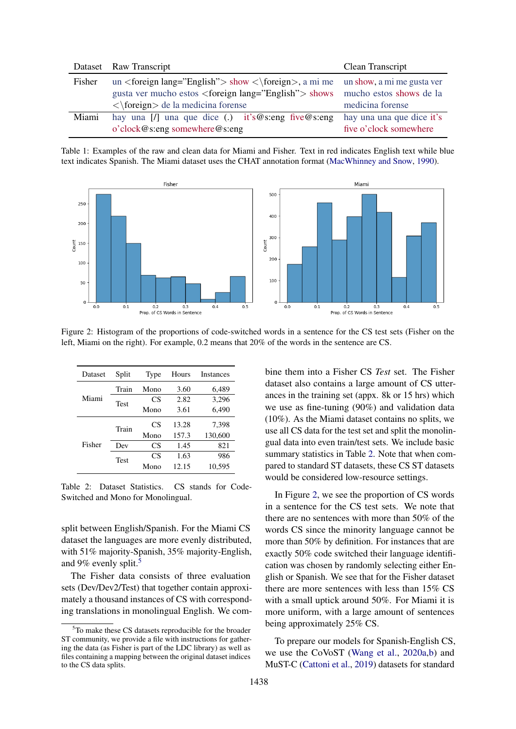<span id="page-3-0"></span>

|        | Dataset Raw Transcript                                               | Clean Transcript           |
|--------|----------------------------------------------------------------------|----------------------------|
| Fisher | un <foreign lang="English"> show &lt;\foreign&gt;, a mi me</foreign> | un show, a mi me gusta ver |
|        | gusta ver mucho estos $\langle$ foreign lang="English" $>$ shows     | mucho estos shows de la    |
|        | $\langle \text{foreign} \rangle$ de la medicina forense              | medicina forense           |
| Miami  | hay una $[1]$ una que dice (.) it's @s:eng five @s:eng               | hay una una que dice it's  |
|        | o'clock@s:eng somewhere@s:eng                                        | five o'clock somewhere     |

Table 1: Examples of the raw and clean data for Miami and Fisher. Text in red indicates English text while blue text indicates Spanish. The Miami dataset uses the CHAT annotation format [\(MacWhinney and Snow,](#page-9-21) [1990\)](#page-9-21).

<span id="page-3-3"></span>

Figure 2: Histogram of the proportions of code-switched words in a sentence for the CS test sets (Fisher on the left, Miami on the right). For example, 0.2 means that 20% of the words in the sentence are CS.

<span id="page-3-2"></span>

| Dataset              | Split | Type      | Hours | Instances |
|----------------------|-------|-----------|-------|-----------|
|                      | Train | Mono      | 3.60  | 6,489     |
| Miami<br><b>Test</b> |       | CS        | 2.82  | 3,296     |
|                      |       | Mono      | 3.61  | 6,490     |
|                      | Train | <b>CS</b> | 13.28 | 7,398     |
|                      |       | Mono      | 157.3 | 130,600   |
| Fisher               | Dev   | CS        | 1.45  | 821       |
|                      | Test  | CS        | 1.63  | 986       |
|                      |       | Mono      | 12.15 | 10,595    |

Table 2: Dataset Statistics. CS stands for Code-Switched and Mono for Monolingual.

split between English/Spanish. For the Miami CS dataset the languages are more evenly distributed, with 51% majority-Spanish, 35% majority-English, and 9% evenly split.<sup>[5](#page-3-1)</sup>

The Fisher data consists of three evaluation sets (Dev/Dev2/Test) that together contain approximately a thousand instances of CS with corresponding translations in monolingual English. We combine them into a Fisher CS *Test* set. The Fisher dataset also contains a large amount of CS utterances in the training set (appx. 8k or 15 hrs) which we use as fine-tuning (90%) and validation data (10%). As the Miami dataset contains no splits, we use all CS data for the test set and split the monolingual data into even train/test sets. We include basic summary statistics in Table [2.](#page-3-2) Note that when compared to standard ST datasets, these CS ST datasets would be considered low-resource settings.

In Figure [2,](#page-3-3) we see the proportion of CS words in a sentence for the CS test sets. We note that there are no sentences with more than 50% of the words CS since the minority language cannot be more than 50% by definition. For instances that are exactly 50% code switched their language identification was chosen by randomly selecting either English or Spanish. We see that for the Fisher dataset there are more sentences with less than 15% CS with a small uptick around 50%. For Miami it is more uniform, with a large amount of sentences being approximately 25% CS.

To prepare our models for Spanish-English CS, we use the CoVoST [\(Wang et al.,](#page-10-13) [2020a](#page-10-13)[,b\)](#page-10-14) and MuST-C [\(Cattoni et al.,](#page-8-17) [2019\)](#page-8-17) datasets for standard

<span id="page-3-1"></span> $5T$ o make these CS datasets reproducible for the broader ST community, we provide a file with instructions for gathering the data (as Fisher is part of the LDC library) as well as files containing a mapping between the original dataset indices to the CS data splits.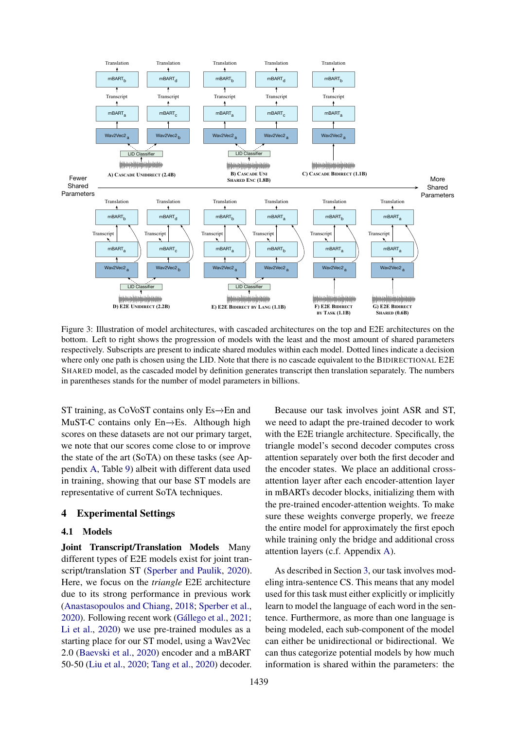<span id="page-4-0"></span>

Figure 3: Illustration of model architectures, with cascaded architectures on the top and E2E architectures on the bottom. Left to right shows the progression of models with the least and the most amount of shared parameters respectively. Subscripts are present to indicate shared modules within each model. Dotted lines indicate a decision where only one path is chosen using the LID. Note that there is no cascade equivalent to the BIDIRECTIONAL E2E SHARED model, as the cascaded model by definition generates transcript then translation separately. The numbers in parentheses stands for the number of model parameters in billions.

ST training, as CoVoST contains only Es→En and MuST-C contains only En−→Es. Although high scores on these datasets are not our primary target, we note that our scores come close to or improve the state of the art (SoTA) on these tasks (see Appendix [A,](#page-11-1) Table [9\)](#page-12-0) albeit with different data used in training, showing that our base ST models are representative of current SoTA techniques.

# 4 Experimental Settings

#### <span id="page-4-1"></span>4.1 Models

Joint Transcript/Translation Models Many different types of E2E models exist for joint transcript/translation ST [\(Sperber and Paulik,](#page-10-15) [2020\)](#page-10-15). Here, we focus on the *triangle* E2E architecture due to its strong performance in previous work [\(Anastasopoulos and Chiang,](#page-8-3) [2018;](#page-8-3) [Sperber et al.,](#page-10-16) [2020\)](#page-10-16). Following recent work (Gállego et al., [2021;](#page-8-4) [Li et al.,](#page-9-6) [2020\)](#page-9-6) we use pre-trained modules as a starting place for our ST model, using a Wav2Vec 2.0 [\(Baevski et al.,](#page-8-5) [2020\)](#page-8-5) encoder and a mBART 50-50 [\(Liu et al.,](#page-9-9) [2020;](#page-9-9) [Tang et al.,](#page-10-7) [2020\)](#page-10-7) decoder.

Because our task involves joint ASR and ST, we need to adapt the pre-trained decoder to work with the E2E triangle architecture. Specifically, the triangle model's second decoder computes cross attention separately over both the first decoder and the encoder states. We place an additional crossattention layer after each encoder-attention layer in mBARTs decoder blocks, initializing them with the pre-trained encoder-attention weights. To make sure these weights converge properly, we freeze the entire model for approximately the first epoch while training only the bridge and additional cross attention layers (c.f. Appendix [A\)](#page-11-1).

As described in Section [3,](#page-2-0) our task involves modeling intra-sentence CS. This means that any model used for this task must either explicitly or implicitly learn to model the language of each word in the sentence. Furthermore, as more than one language is being modeled, each sub-component of the model can either be unidirectional or bidirectional. We can thus categorize potential models by how much information is shared within the parameters: the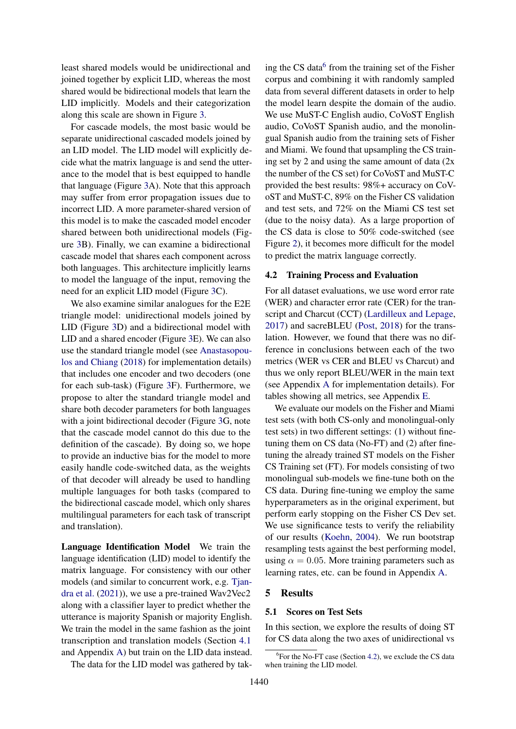least shared models would be unidirectional and joined together by explicit LID, whereas the most shared would be bidirectional models that learn the LID implicitly. Models and their categorization along this scale are shown in Figure [3.](#page-4-0)

For cascade models, the most basic would be separate unidirectional cascaded models joined by an LID model. The LID model will explicitly decide what the matrix language is and send the utterance to the model that is best equipped to handle that language (Figure [3A](#page-4-0)). Note that this approach may suffer from error propagation issues due to incorrect LID. A more parameter-shared version of this model is to make the cascaded model encoder shared between both unidirectional models (Figure [3B](#page-4-0)). Finally, we can examine a bidirectional cascade model that shares each component across both languages. This architecture implicitly learns to model the language of the input, removing the need for an explicit LID model (Figure [3C](#page-4-0)).

We also examine similar analogues for the E2E triangle model: unidirectional models joined by LID (Figure [3D](#page-4-0)) and a bidirectional model with LID and a shared encoder (Figure [3E](#page-4-0)). We can also use the standard triangle model (see [Anastasopou](#page-8-3)[los and Chiang](#page-8-3) [\(2018\)](#page-8-3) for implementation details) that includes one encoder and two decoders (one for each sub-task) (Figure [3F](#page-4-0)). Furthermore, we propose to alter the standard triangle model and share both decoder parameters for both languages with a joint bidirectional decoder (Figure [3G](#page-4-0), note that the cascade model cannot do this due to the definition of the cascade). By doing so, we hope to provide an inductive bias for the model to more easily handle code-switched data, as the weights of that decoder will already be used to handling multiple languages for both tasks (compared to the bidirectional cascade model, which only shares multilingual parameters for each task of transcript and translation).

Language Identification Model We train the language identification (LID) model to identify the matrix language. For consistency with our other models (and similar to concurrent work, e.g. [Tjan](#page-10-17)[dra et al.](#page-10-17) [\(2021\)](#page-10-17)), we use a pre-trained Wav2Vec2 along with a classifier layer to predict whether the utterance is majority Spanish or majority English. We train the model in the same fashion as the joint transcription and translation models (Section [4.1](#page-4-1) and Appendix [A\)](#page-11-1) but train on the LID data instead.

The data for the LID model was gathered by tak-

ing the CS data<sup>[6](#page-5-0)</sup> from the training set of the Fisher corpus and combining it with randomly sampled data from several different datasets in order to help the model learn despite the domain of the audio. We use MuST-C English audio, CoVoST English audio, CoVoST Spanish audio, and the monolingual Spanish audio from the training sets of Fisher and Miami. We found that upsampling the CS training set by 2 and using the same amount of data  $(2x)$ the number of the CS set) for CoVoST and MuST-C provided the best results: 98%+ accuracy on CoVoST and MuST-C, 89% on the Fisher CS validation and test sets, and 72% on the Miami CS test set (due to the noisy data). As a large proportion of the CS data is close to 50% code-switched (see Figure [2\)](#page-3-3), it becomes more difficult for the model to predict the matrix language correctly.

#### <span id="page-5-1"></span>4.2 Training Process and Evaluation

For all dataset evaluations, we use word error rate (WER) and character error rate (CER) for the transcript and Charcut (CCT) [\(Lardilleux and Lepage,](#page-9-22) [2017\)](#page-9-22) and sacreBLEU [\(Post,](#page-9-23) [2018\)](#page-9-23) for the translation. However, we found that there was no difference in conclusions between each of the two metrics (WER vs CER and BLEU vs Charcut) and thus we only report BLEU/WER in the main text (see Appendix [A](#page-11-1) for implementation details). For tables showing all metrics, see Appendix [E.](#page-11-2)

We evaluate our models on the Fisher and Miami test sets (with both CS-only and monolingual-only test sets) in two different settings: (1) without finetuning them on CS data (No-FT) and (2) after finetuning the already trained ST models on the Fisher CS Training set (FT). For models consisting of two monolingual sub-models we fine-tune both on the CS data. During fine-tuning we employ the same hyperparameters as in the original experiment, but perform early stopping on the Fisher CS Dev set. We use significance tests to verify the reliability of our results [\(Koehn,](#page-9-24) [2004\)](#page-9-24). We run bootstrap resampling tests against the best performing model, using  $\alpha = 0.05$ . More training parameters such as learning rates, etc. can be found in Appendix [A.](#page-11-1)

#### 5 Results

#### 5.1 Scores on Test Sets

In this section, we explore the results of doing ST for CS data along the two axes of unidirectional vs

<span id="page-5-0"></span><sup>&</sup>lt;sup>6</sup> For the No-FT case (Section [4.2\)](#page-5-1), we exclude the CS data when training the LID model.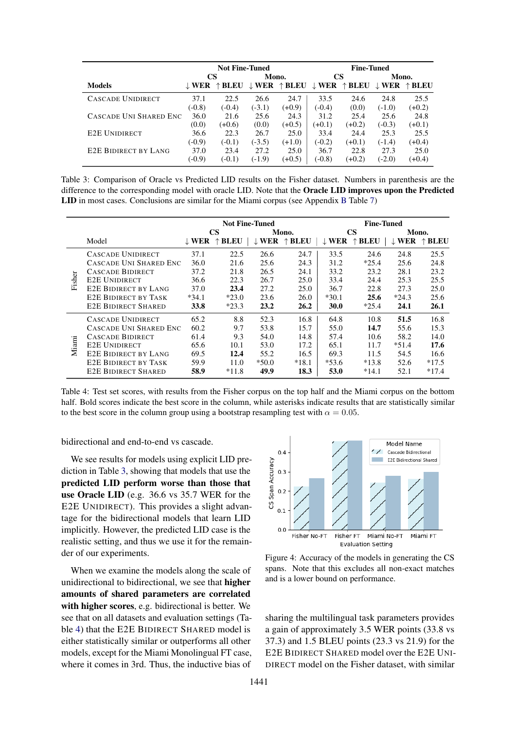<span id="page-6-0"></span>

|                             |          | <b>Not Fine-Tuned</b> |          |          | <b>Fine-Tuned</b> |                                                                   |          |                                  |
|-----------------------------|----------|-----------------------|----------|----------|-------------------|-------------------------------------------------------------------|----------|----------------------------------|
|                             |          | CS                    | Mono.    |          | <b>CS</b>         |                                                                   | Mono.    |                                  |
| <b>Models</b>               | J. WER   | ↑ BLEU                |          |          |                   | $\downarrow$ WER $\uparrow$ BLEU $\downarrow$ WER $\uparrow$ BLEU |          | $\downarrow$ WER $\uparrow$ BLEU |
| CASCADE UNIDIRECT           | 37.1     | 22.5                  | 26.6     | 24.7     | 33.5              | 24.6                                                              | 24.8     | 25.5                             |
|                             | $(-0.8)$ | $(-0.4)$              | $(-3.1)$ | $(+0.9)$ | $(-0.4)$          | (0.0)                                                             | $(-1.0)$ | $(+0.2)$                         |
| CASCADE UNI SHARED ENC      | 36.0     | 21.6                  | 25.6     | 24.3     | 31.2              | 25.4                                                              | 25.6     | 24.8                             |
|                             | (0.0)    | $(+0.6)$              | (0.0)    | $(+0.5)$ | $(+0.1)$          | $(+0.2)$                                                          | $(-0.3)$ | $(+0.1)$                         |
| <b>E2E UNIDIRECT</b>        | 36.6     | 22.3                  | 26.7     | 25.0     | 33.4              | 24.4                                                              | 25.3     | 25.5                             |
|                             | $(-0.9)$ | $(-0.1)$              | $(-3.5)$ | $(+1.0)$ | $(-0.2)$          | $(+0.1)$                                                          | $(-1.4)$ | $(+0.4)$                         |
| <b>E2E BIDIRECT BY LANG</b> | 37.0     | 23.4                  | 27.2     | 25.0     | 36.7              | 22.8                                                              | 27.3     | 25.0                             |
|                             | $(-0.9)$ | $(-0.1)$              | $(-1.9)$ | $(+0.5)$ | $(-0.8)$          | $(+0.2)$                                                          | $(-2.0)$ | $(+0.4)$                         |

Table 3: Comparison of Oracle vs Predicted LID results on the Fisher dataset. Numbers in parenthesis are the difference to the corresponding model with oracle LID. Note that the Oracle LID improves upon the Predicted LID in most cases. Conclusions are similar for the Miami corpus (see Appendix [B](#page-11-3) Table [7\)](#page-12-1)

<span id="page-6-1"></span>

|        | <b>Not Fine-Tuned</b>       |                  |             |                  |                 |                  | <b>Fine-Tuned</b> |                  |             |  |  |
|--------|-----------------------------|------------------|-------------|------------------|-----------------|------------------|-------------------|------------------|-------------|--|--|
|        |                             |                  | <b>CS</b>   |                  | Mono.           |                  | <b>CS</b>         | Mono.            |             |  |  |
|        | Model                       | $\downarrow$ WER | <b>BLEU</b> | $\downarrow$ WER | $\uparrow$ BLEU | $\downarrow$ WER | ↑ BLEU            | $\downarrow$ WER | <b>BLEU</b> |  |  |
|        | CASCADE UNIDIRECT           | 37.1             | 22.5        | 26.6             | 24.7            | 33.5             | 24.6              | 24.8             | 25.5        |  |  |
|        | CASCADE UNI SHARED ENC      | 36.0             | 21.6        | 25.6             | 24.3            | 31.2             | $*25.4$           | 25.6             | 24.8        |  |  |
|        | CASCADE BIDIRECT            | 37.2             | 21.8        | 26.5             | 24.1            | 33.2             | 23.2              | 28.1             | 23.2        |  |  |
| Fisher | <b>E2E UNIDIRECT</b>        | 36.6             | 22.3        | 26.7             | 25.0            | 33.4             | 24.4              | 25.3             | 25.5        |  |  |
|        | <b>E2E BIDIRECT BY LANG</b> | 37.0             | 23.4        | 27.2             | 25.0            | 36.7             | 22.8              | 27.3             | 25.0        |  |  |
|        | <b>E2E BIDIRECT BY TASK</b> | $*34.1$          | $*23.0$     | 23.6             | 26.0            | $*30.1$          | 25.6              | $*24.3$          | 25.6        |  |  |
|        | <b>E2E BIDIRECT SHARED</b>  | 33.8             | $*23.3$     | 23.2             | 26.2            | <b>30.0</b>      | $*25.4$           | 24.1             | 26.1        |  |  |
|        | CASCADE UNIDIRECT           | 65.2             | 8.8         | 52.3             | 16.8            | 64.8             | 10.8              | 51.5             | 16.8        |  |  |
|        | CASCADE UNI SHARED ENC      | 60.2             | 9.7         | 53.8             | 15.7            | 55.0             | 14.7              | 55.6             | 15.3        |  |  |
|        | <b>CASCADE BIDIRECT</b>     | 61.4             | 9.3         | 54.0             | 14.8            | 57.4             | 10.6              | 58.2             | 14.0        |  |  |
| Miami  | <b>E2E UNIDIRECT</b>        | 65.6             | 10.1        | 53.0             | 17.2            | 65.1             | 11.7              | $*51.4$          | 17.6        |  |  |
|        | <b>E2E BIDIRECT BY LANG</b> | 69.5             | 12.4        | 55.2             | 16.5            | 69.3             | 11.5              | 54.5             | 16.6        |  |  |
|        | <b>E2E BIDIRECT BY TASK</b> | 59.9             | 11.0        | $*50.0$          | $*18.1$         | $*53.6$          | $*13.8$           | 52.6             | $*17.5$     |  |  |
|        | <b>E2E BIDIRECT SHARED</b>  | 58.9             | $*11.8$     | 49.9             | 18.3            | 53.0             | $*14.1$           | 52.1             | $*17.4$     |  |  |

Table 4: Test set scores, with results from the Fisher corpus on the top half and the Miami corpus on the bottom half. Bold scores indicate the best score in the column, while asterisks indicate results that are statistically similar to the best score in the column group using a bootstrap resampling test with  $\alpha = 0.05$ .

bidirectional and end-to-end vs cascade.

We see results for models using explicit LID prediction in Table [3,](#page-6-0) showing that models that use the predicted LID perform worse than those that use Oracle LID (e.g. 36.6 vs 35.7 WER for the E2E UNIDIRECT). This provides a slight advantage for the bidirectional models that learn LID implicitly. However, the predicted LID case is the realistic setting, and thus we use it for the remainder of our experiments.

When we examine the models along the scale of unidirectional to bidirectional, we see that higher amounts of shared parameters are correlated with higher scores, e.g. bidirectional is better. We see that on all datasets and evaluation settings (Table [4\)](#page-6-1) that the E2E BIDIRECT SHARED model is either statistically similar or outperforms all other models, except for the Miami Monolingual FT case, where it comes in 3rd. Thus, the inductive bias of

<span id="page-6-2"></span>

Figure 4: Accuracy of the models in generating the CS spans. Note that this excludes all non-exact matches and is a lower bound on performance.

sharing the multilingual task parameters provides a gain of approximately 3.5 WER points (33.8 vs 37.3) and 1.5 BLEU points (23.3 vs 21.9) for the E2E BIDIRECT SHARED model over the E2E UNI-DIRECT model on the Fisher dataset, with similar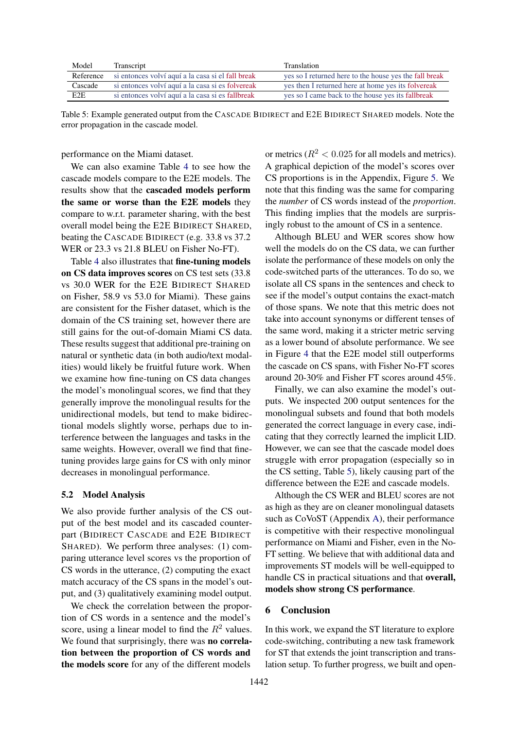<span id="page-7-0"></span>

| Model     | Transcript                                        | Translation                                            |
|-----------|---------------------------------------------------|--------------------------------------------------------|
| Reference | si entonces volví aquí a la casa si el fall break | yes so I returned here to the house yes the fall break |
| Cascade   | si entonces volví aquí a la casa si es folvereak  | yes then I returned here at home yes its folvereak     |
| E2E       | si entonces volví aquí a la casa si es fallbreak  | yes so I came back to the house yes its fallbreak      |

Table 5: Example generated output from the CASCADE BIDIRECT and E2E BIDIRECT SHARED models. Note the error propagation in the cascade model.

performance on the Miami dataset.

We can also examine Table [4](#page-6-1) to see how the cascade models compare to the E2E models. The results show that the cascaded models perform the same or worse than the E2E models they compare to w.r.t. parameter sharing, with the best overall model being the E2E BIDIRECT SHARED, beating the CASCADE BIDIRECT (e.g. 33.8 vs 37.2 WER or 23.3 vs 21.8 BLEU on Fisher No-FT).

Table [4](#page-6-1) also illustrates that fine-tuning models on CS data improves scores on CS test sets (33.8 vs 30.0 WER for the E2E BIDIRECT SHARED on Fisher, 58.9 vs 53.0 for Miami). These gains are consistent for the Fisher dataset, which is the domain of the CS training set, however there are still gains for the out-of-domain Miami CS data. These results suggest that additional pre-training on natural or synthetic data (in both audio/text modalities) would likely be fruitful future work. When we examine how fine-tuning on CS data changes the model's monolingual scores, we find that they generally improve the monolingual results for the unidirectional models, but tend to make bidirectional models slightly worse, perhaps due to interference between the languages and tasks in the same weights. However, overall we find that finetuning provides large gains for CS with only minor decreases in monolingual performance.

#### <span id="page-7-1"></span>5.2 Model Analysis

We also provide further analysis of the CS output of the best model and its cascaded counterpart (BIDIRECT CASCADE and E2E BIDIRECT SHARED). We perform three analyses: (1) comparing utterance level scores vs the proportion of CS words in the utterance, (2) computing the exact match accuracy of the CS spans in the model's output, and (3) qualitatively examining model output.

We check the correlation between the proportion of CS words in a sentence and the model's score, using a linear model to find the  $R^2$  values. We found that surprisingly, there was **no correla**tion between the proportion of CS words and the models score for any of the different models

or metrics ( $R^2$  < 0.025 for all models and metrics). A graphical depiction of the model's scores over CS proportions is in the Appendix, Figure [5.](#page-11-4) We note that this finding was the same for comparing the *number* of CS words instead of the *proportion*. This finding implies that the models are surprisingly robust to the amount of CS in a sentence.

Although BLEU and WER scores show how well the models do on the CS data, we can further isolate the performance of these models on only the code-switched parts of the utterances. To do so, we isolate all CS spans in the sentences and check to see if the model's output contains the exact-match of those spans. We note that this metric does not take into account synonyms or different tenses of the same word, making it a stricter metric serving as a lower bound of absolute performance. We see in Figure [4](#page-6-2) that the E2E model still outperforms the cascade on CS spans, with Fisher No-FT scores around 20-30% and Fisher FT scores around 45%.

Finally, we can also examine the model's outputs. We inspected 200 output sentences for the monolingual subsets and found that both models generated the correct language in every case, indicating that they correctly learned the implicit LID. However, we can see that the cascade model does struggle with error propagation (especially so in the CS setting, Table [5\)](#page-7-0), likely causing part of the difference between the E2E and cascade models.

Although the CS WER and BLEU scores are not as high as they are on cleaner monolingual datasets such as CoVoST (Appendix [A\)](#page-11-1), their performance is competitive with their respective monolingual performance on Miami and Fisher, even in the No-FT setting. We believe that with additional data and improvements ST models will be well-equipped to handle CS in practical situations and that overall, models show strong CS performance.

# 6 Conclusion

In this work, we expand the ST literature to explore code-switching, contributing a new task framework for ST that extends the joint transcription and translation setup. To further progress, we built and open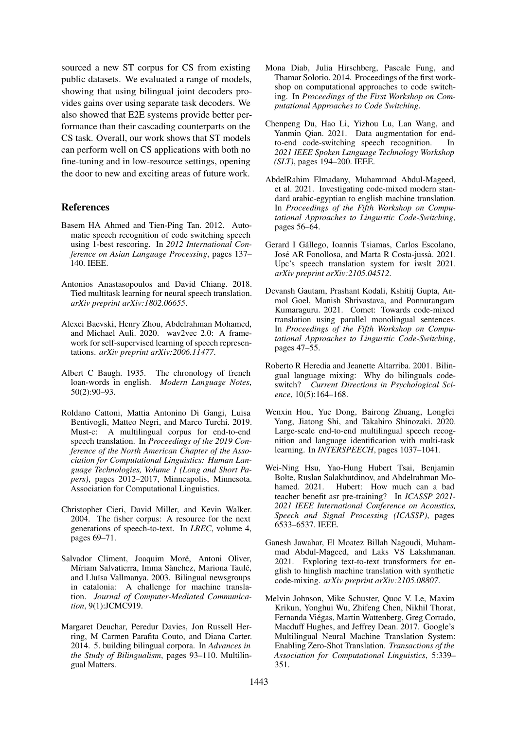sourced a new ST corpus for CS from existing public datasets. We evaluated a range of models, showing that using bilingual joint decoders provides gains over using separate task decoders. We also showed that E2E systems provide better performance than their cascading counterparts on the CS task. Overall, our work shows that ST models can perform well on CS applications with both no fine-tuning and in low-resource settings, opening the door to new and exciting areas of future work.

### **References**

- <span id="page-8-1"></span>Basem HA Ahmed and Tien-Ping Tan. 2012. Automatic speech recognition of code switching speech using 1-best rescoring. In *2012 International Conference on Asian Language Processing*, pages 137– 140. IEEE.
- <span id="page-8-3"></span>Antonios Anastasopoulos and David Chiang. 2018. Tied multitask learning for neural speech translation. *arXiv preprint arXiv:1802.06655*.
- <span id="page-8-5"></span>Alexei Baevski, Henry Zhou, Abdelrahman Mohamed, and Michael Auli. 2020. wav2vec 2.0: A framework for self-supervised learning of speech representations. *arXiv preprint arXiv:2006.11477*.
- <span id="page-8-15"></span>Albert C Baugh. 1935. The chronology of french loan-words in english. *Modern Language Notes*, 50(2):90–93.
- <span id="page-8-17"></span>Roldano Cattoni, Mattia Antonino Di Gangi, Luisa Bentivogli, Matteo Negri, and Marco Turchi. 2019. Must-c: A multilingual corpus for end-to-end speech translation. In *Proceedings of the 2019 Conference of the North American Chapter of the Association for Computational Linguistics: Human Language Technologies, Volume 1 (Long and Short Papers)*, pages 2012–2017, Minneapolis, Minnesota. Association for Computational Linguistics.
- <span id="page-8-16"></span>Christopher Cieri, David Miller, and Kevin Walker. 2004. The fisher corpus: A resource for the next generations of speech-to-text. In *LREC*, volume 4, pages 69–71.
- <span id="page-8-7"></span>Salvador Climent, Joaquim Moré, Antoni Oliver, Míriam Salvatierra, Imma Sànchez, Mariona Taulé, and Lluïsa Vallmanya. 2003. Bilingual newsgroups in catalonia: A challenge for machine translation. *Journal of Computer-Mediated Communication*, 9(1):JCMC919.
- <span id="page-8-11"></span>Margaret Deuchar, Peredur Davies, Jon Russell Herring, M Carmen Parafita Couto, and Diana Carter. 2014. 5. building bilingual corpora. In *Advances in the Study of Bilingualism*, pages 93–110. Multilingual Matters.
- <span id="page-8-6"></span>Mona Diab, Julia Hirschberg, Pascale Fung, and Thamar Solorio. 2014. Proceedings of the first workshop on computational approaches to code switching. In *Proceedings of the First Workshop on Computational Approaches to Code Switching*.
- <span id="page-8-12"></span>Chenpeng Du, Hao Li, Yizhou Lu, Lan Wang, and Yanmin Qian. 2021. Data augmentation for endto-end code-switching speech recognition. In *2021 IEEE Spoken Language Technology Workshop (SLT)*, pages 194–200. IEEE.
- <span id="page-8-8"></span>AbdelRahim Elmadany, Muhammad Abdul-Mageed, et al. 2021. Investigating code-mixed modern standard arabic-egyptian to english machine translation. In *Proceedings of the Fifth Workshop on Computational Approaches to Linguistic Code-Switching*, pages 56–64.
- <span id="page-8-4"></span>Gerard I Gallego, Ioannis Tsiamas, Carlos Escolano, ´ José AR Fonollosa, and Marta R Costa-jussà. 2021. Upc's speech translation system for iwslt 2021. *arXiv preprint arXiv:2105.04512*.
- <span id="page-8-9"></span>Devansh Gautam, Prashant Kodali, Kshitij Gupta, Anmol Goel, Manish Shrivastava, and Ponnurangam Kumaraguru. 2021. Comet: Towards code-mixed translation using parallel monolingual sentences. In *Proceedings of the Fifth Workshop on Computational Approaches to Linguistic Code-Switching*, pages 47–55.
- <span id="page-8-0"></span>Roberto R Heredia and Jeanette Altarriba. 2001. Bilingual language mixing: Why do bilinguals codeswitch? *Current Directions in Psychological Science*, 10(5):164–168.
- <span id="page-8-14"></span>Wenxin Hou, Yue Dong, Bairong Zhuang, Longfei Yang, Jiatong Shi, and Takahiro Shinozaki. 2020. Large-scale end-to-end multilingual speech recognition and language identification with multi-task learning. In *INTERSPEECH*, pages 1037–1041.
- <span id="page-8-13"></span>Wei-Ning Hsu, Yao-Hung Hubert Tsai, Benjamin Bolte, Ruslan Salakhutdinov, and Abdelrahman Mohamed. 2021. Hubert: How much can a bad teacher benefit asr pre-training? In *ICASSP 2021- 2021 IEEE International Conference on Acoustics, Speech and Signal Processing (ICASSP)*, pages 6533–6537. IEEE.
- <span id="page-8-10"></span>Ganesh Jawahar, El Moatez Billah Nagoudi, Muhammad Abdul-Mageed, and Laks VS Lakshmanan. 2021. Exploring text-to-text transformers for english to hinglish machine translation with synthetic code-mixing. *arXiv preprint arXiv:2105.08807*.
- <span id="page-8-2"></span>Melvin Johnson, Mike Schuster, Quoc V. Le, Maxim Krikun, Yonghui Wu, Zhifeng Chen, Nikhil Thorat, Fernanda Viegas, Martin Wattenberg, Greg Corrado, ´ Macduff Hughes, and Jeffrey Dean. 2017. Google's Multilingual Neural Machine Translation System: Enabling Zero-Shot Translation. *Transactions of the Association for Computational Linguistics*, 5:339– 351.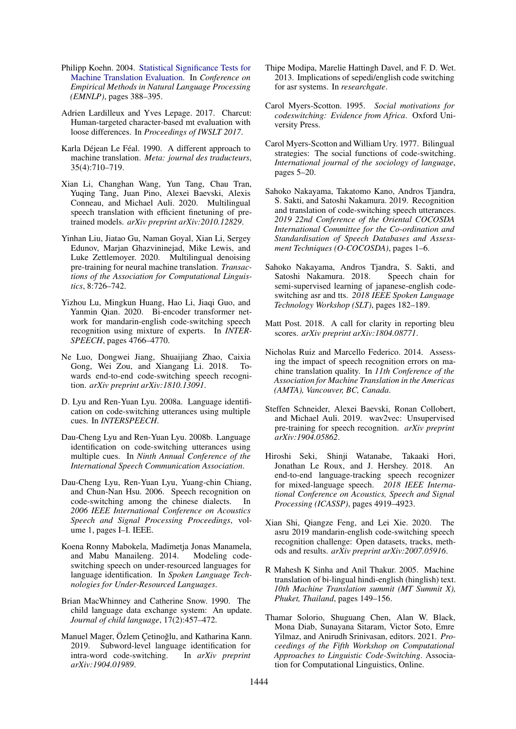- <span id="page-9-24"></span>Philipp Koehn. 2004. [Statistical Significance Tests for](https://www.aclweb.org/anthology/W04-3250.pdf) [Machine Translation Evaluation.](https://www.aclweb.org/anthology/W04-3250.pdf) In *Conference on Empirical Methods in Natural Language Processing (EMNLP)*, pages 388–395.
- <span id="page-9-22"></span>Adrien Lardilleux and Yves Lepage. 2017. Charcut: Human-targeted character-based mt evaluation with loose differences. In *Proceedings of IWSLT 2017*.
- <span id="page-9-8"></span>Karla Déjean Le Féal. 1990. A different approach to machine translation. *Meta: journal des traducteurs*, 35(4):710–719.
- <span id="page-9-6"></span>Xian Li, Changhan Wang, Yun Tang, Chau Tran, Yuqing Tang, Juan Pino, Alexei Baevski, Alexis Conneau, and Michael Auli. 2020. Multilingual speech translation with efficient finetuning of pretrained models. *arXiv preprint arXiv:2010.12829*.
- <span id="page-9-9"></span>Yinhan Liu, Jiatao Gu, Naman Goyal, Xian Li, Sergey Edunov, Marjan Ghazvininejad, Mike Lewis, and Luke Zettlemoyer. 2020. Multilingual denoising pre-training for neural machine translation. *Transactions of the Association for Computational Linguistics*, 8:726–742.
- <span id="page-9-13"></span>Yizhou Lu, Mingkun Huang, Hao Li, Jiaqi Guo, and Yanmin Qian. 2020. Bi-encoder transformer network for mandarin-english code-switching speech recognition using mixture of experts. In *INTER-SPEECH*, pages 4766–4770.
- <span id="page-9-12"></span>Ne Luo, Dongwei Jiang, Shuaijiang Zhao, Caixia Gong, Wei Zou, and Xiangang Li. 2018. Towards end-to-end code-switching speech recognition. *arXiv preprint arXiv:1810.13091*.
- <span id="page-9-16"></span>D. Lyu and Ren-Yuan Lyu. 2008a. Language identification on code-switching utterances using multiple cues. In *INTERSPEECH*.
- <span id="page-9-17"></span>Dau-Cheng Lyu and Ren-Yuan Lyu. 2008b. Language identification on code-switching utterances using multiple cues. In *Ninth Annual Conference of the International Speech Communication Association*.
- <span id="page-9-2"></span>Dau-Cheng Lyu, Ren-Yuan Lyu, Yuang-chin Chiang, and Chun-Nan Hsu. 2006. Speech recognition on code-switching among the chinese dialects. In *2006 IEEE International Conference on Acoustics Speech and Signal Processing Proceedings*, volume 1, pages I–I. IEEE.
- <span id="page-9-15"></span>Koena Ronny Mabokela, Madimetja Jonas Manamela, and Mabu Manaileng. 2014. Modeling codeswitching speech on under-resourced languages for language identification. In *Spoken Language Technologies for Under-Resourced Languages*.
- <span id="page-9-21"></span>Brian MacWhinney and Catherine Snow. 1990. The child language data exchange system: An update. *Journal of child language*, 17(2):457–472.
- <span id="page-9-18"></span>Manuel Mager, Özlem Cetinoğlu, and Katharina Kann. 2019. Subword-level language identification for intra-word code-switching. In *arXiv preprint arXiv:1904.01989*.
- <span id="page-9-19"></span>Thipe Modipa, Marelie Hattingh Davel, and F. D. Wet. 2013. Implications of sepedi/english code switching for asr systems. In *researchgate*.
- <span id="page-9-1"></span>Carol Myers-Scotton. 1995. *Social motivations for codeswitching: Evidence from Africa*. Oxford University Press.
- <span id="page-9-0"></span>Carol Myers-Scotton and William Ury. 1977. Bilingual strategies: The social functions of code-switching. *International journal of the sociology of language*, pages 5–20.
- <span id="page-9-4"></span>Sahoko Nakayama, Takatomo Kano, Andros Tjandra, S. Sakti, and Satoshi Nakamura. 2019. Recognition and translation of code-switching speech utterances. *2019 22nd Conference of the Oriental COCOSDA International Committee for the Co-ordination and Standardisation of Speech Databases and Assessment Techniques (O-COCOSDA)*, pages 1–6.
- <span id="page-9-20"></span>Sahoko Nakayama, Andros Tjandra, S. Sakti, and Satoshi Nakamura. 2018. Speech chain for semi-supervised learning of japanese-english codeswitching asr and tts. *2018 IEEE Spoken Language Technology Workshop (SLT)*, pages 182–189.
- <span id="page-9-23"></span>Matt Post. 2018. A call for clarity in reporting bleu scores. *arXiv preprint arXiv:1804.08771*.
- <span id="page-9-5"></span>Nicholas Ruiz and Marcello Federico. 2014. Assessing the impact of speech recognition errors on machine translation quality. In *11th Conference of the Association for Machine Translation in the Americas (AMTA), Vancouver, BC, Canada*.
- <span id="page-9-14"></span>Steffen Schneider, Alexei Baevski, Ronan Collobert, and Michael Auli. 2019. wav2vec: Unsupervised pre-training for speech recognition. *arXiv preprint arXiv:1904.05862*.
- <span id="page-9-11"></span>Hiroshi Seki, Shinji Watanabe, Takaaki Hori, Jonathan Le Roux, and J. Hershey. 2018. An end-to-end language-tracking speech recognizer for mixed-language speech. *2018 IEEE International Conference on Acoustics, Speech and Signal Processing (ICASSP)*, pages 4919–4923.
- <span id="page-9-10"></span>Xian Shi, Qiangze Feng, and Lei Xie. 2020. The asru 2019 mandarin-english code-switching speech recognition challenge: Open datasets, tracks, methods and results. *arXiv preprint arXiv:2007.05916*.
- <span id="page-9-3"></span>R Mahesh K Sinha and Anil Thakur. 2005. Machine translation of bi-lingual hindi-english (hinglish) text. *10th Machine Translation summit (MT Summit X), Phuket, Thailand*, pages 149–156.
- <span id="page-9-7"></span>Thamar Solorio, Shuguang Chen, Alan W. Black, Mona Diab, Sunayana Sitaram, Victor Soto, Emre Yilmaz, and Anirudh Srinivasan, editors. 2021. *Proceedings of the Fifth Workshop on Computational Approaches to Linguistic Code-Switching*. Association for Computational Linguistics, Online.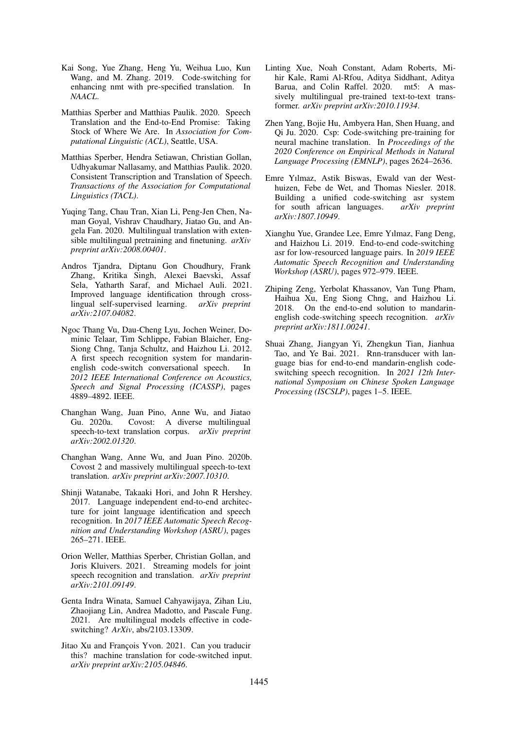- <span id="page-10-9"></span>Kai Song, Yue Zhang, Heng Yu, Weihua Luo, Kun Wang, and M. Zhang. 2019. Code-switching for enhancing nmt with pre-specified translation. In *NAACL*.
- <span id="page-10-15"></span>Matthias Sperber and Matthias Paulik. 2020. Speech Translation and the End-to-End Promise: Taking Stock of Where We Are. In *Association for Computational Linguistic (ACL)*, Seattle, USA.
- <span id="page-10-16"></span>Matthias Sperber, Hendra Setiawan, Christian Gollan, Udhyakumar Nallasamy, and Matthias Paulik. 2020. Consistent Transcription and Translation of Speech. *Transactions of the Association for Computational Linguistics (TACL)*.
- <span id="page-10-7"></span>Yuqing Tang, Chau Tran, Xian Li, Peng-Jen Chen, Naman Goyal, Vishrav Chaudhary, Jiatao Gu, and Angela Fan. 2020. Multilingual translation with extensible multilingual pretraining and finetuning. *arXiv preprint arXiv:2008.00401*.
- <span id="page-10-17"></span>Andros Tjandra, Diptanu Gon Choudhury, Frank Zhang, Kritika Singh, Alexei Baevski, Assaf Sela, Yatharth Saraf, and Michael Auli. 2021. Improved language identification through crosslingual self-supervised learning. *arXiv preprint arXiv:2107.04082*.
- <span id="page-10-0"></span>Ngoc Thang Vu, Dau-Cheng Lyu, Jochen Weiner, Dominic Telaar, Tim Schlippe, Fabian Blaicher, Eng-Siong Chng, Tanja Schultz, and Haizhou Li. 2012. A first speech recognition system for mandarinenglish code-switch conversational speech. In *2012 IEEE International Conference on Acoustics, Speech and Signal Processing (ICASSP)*, pages 4889–4892. IEEE.
- <span id="page-10-13"></span>Changhan Wang, Juan Pino, Anne Wu, and Jiatao Gu. 2020a. Covost: A diverse multilingual speech-to-text translation corpus. *arXiv preprint arXiv:2002.01320*.
- <span id="page-10-14"></span>Changhan Wang, Anne Wu, and Juan Pino. 2020b. Covost 2 and massively multilingual speech-to-text translation. *arXiv preprint arXiv:2007.10310*.
- <span id="page-10-11"></span>Shinji Watanabe, Takaaki Hori, and John R Hershey. 2017. Language independent end-to-end architecture for joint language identification and speech recognition. In *2017 IEEE Automatic Speech Recognition and Understanding Workshop (ASRU)*, pages 265–271. IEEE.
- <span id="page-10-6"></span>Orion Weller, Matthias Sperber, Christian Gollan, and Joris Kluivers. 2021. Streaming models for joint speech recognition and translation. *arXiv preprint arXiv:2101.09149*.
- <span id="page-10-2"></span>Genta Indra Winata, Samuel Cahyawijaya, Zihan Liu, Zhaojiang Lin, Andrea Madotto, and Pascale Fung. 2021. Are multilingual models effective in codeswitching? *ArXiv*, abs/2103.13309.
- <span id="page-10-5"></span>Jitao Xu and François Yvon. 2021. Can you traducir this? machine translation for code-switched input. *arXiv preprint arXiv:2105.04846*.
- <span id="page-10-8"></span>Linting Xue, Noah Constant, Adam Roberts, Mihir Kale, Rami Al-Rfou, Aditya Siddhant, Aditya Barua, and Colin Raffel. 2020. mt5: A massively multilingual pre-trained text-to-text transformer. *arXiv preprint arXiv:2010.11934*.
- <span id="page-10-4"></span>Zhen Yang, Bojie Hu, Ambyera Han, Shen Huang, and Qi Ju. 2020. Csp: Code-switching pre-training for neural machine translation. In *Proceedings of the 2020 Conference on Empirical Methods in Natural Language Processing (EMNLP)*, pages 2624–2636.
- <span id="page-10-12"></span>Emre Yılmaz, Astik Biswas, Ewald van der Westhuizen, Febe de Wet, and Thomas Niesler. 2018. Building a unified code-switching asr system for south african languages. *arXiv preprint arXiv:1807.10949*.
- <span id="page-10-1"></span>Xianghu Yue, Grandee Lee, Emre Yılmaz, Fang Deng, and Haizhou Li. 2019. End-to-end code-switching asr for low-resourced language pairs. In *2019 IEEE Automatic Speech Recognition and Understanding Workshop (ASRU)*, pages 972–979. IEEE.
- <span id="page-10-10"></span>Zhiping Zeng, Yerbolat Khassanov, Van Tung Pham, Haihua Xu, Eng Siong Chng, and Haizhou Li. 2018. On the end-to-end solution to mandarinenglish code-switching speech recognition. *arXiv preprint arXiv:1811.00241*.
- <span id="page-10-3"></span>Shuai Zhang, Jiangyan Yi, Zhengkun Tian, Jianhua Tao, and Ye Bai. 2021. Rnn-transducer with language bias for end-to-end mandarin-english codeswitching speech recognition. In *2021 12th International Symposium on Chinese Spoken Language Processing (ISCSLP)*, pages 1–5. IEEE.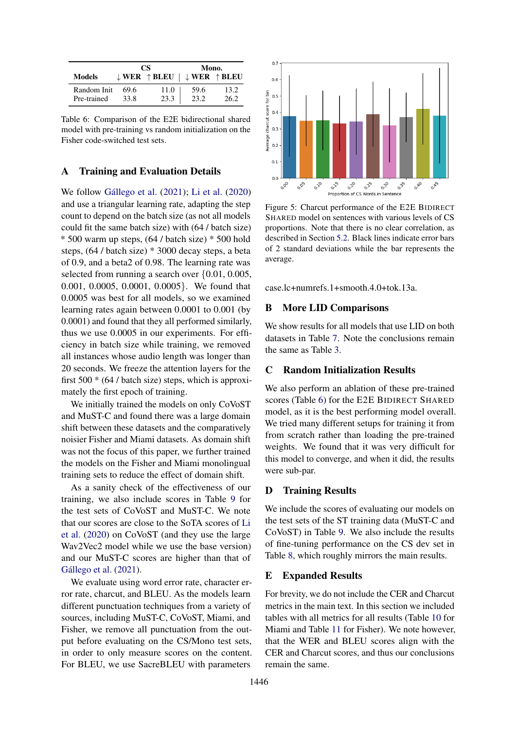<span id="page-11-5"></span>

|                            |              | CS.                              | Mono.        |                                  |  |  |
|----------------------------|--------------|----------------------------------|--------------|----------------------------------|--|--|
| Models                     |              | $\downarrow$ WER $\uparrow$ BLEU |              | $\downarrow$ WER $\uparrow$ BLEU |  |  |
| Random Init<br>Pre-trained | 69.6<br>33.8 | 11.0<br>23.3                     | 59.6<br>23.2 | 13.2<br>26.2                     |  |  |

Table 6: Comparison of the E2E bidirectional shared model with pre-training vs random initialization on the Fisher code-switched test sets.

# <span id="page-11-1"></span>A Training and Evaluation Details

We follow Gállego et al.  $(2021)$ ; [Li et al.](#page-9-6)  $(2020)$ and use a triangular learning rate, adapting the step count to depend on the batch size (as not all models could fit the same batch size) with (64 / batch size) \* 500 warm up steps, (64 / batch size) \* 500 hold steps, (64 / batch size) \* 3000 decay steps, a beta of 0.9, and a beta2 of 0.98. The learning rate was selected from running a search over {0.01, 0.005, 0.001, 0.0005, 0.0001, 0.0005}. We found that 0.0005 was best for all models, so we examined learning rates again between 0.0001 to 0.001 (by 0.0001) and found that they all performed similarly, thus we use 0.0005 in our experiments. For efficiency in batch size while training, we removed all instances whose audio length was longer than 20 seconds. We freeze the attention layers for the first  $500 * (64 / \text{batch size})$  steps, which is approximately the first epoch of training.

We initially trained the models on only CoVoST and MuST-C and found there was a large domain shift between these datasets and the comparatively noisier Fisher and Miami datasets. As domain shift was not the focus of this paper, we further trained the models on the Fisher and Miami monolingual training sets to reduce the effect of domain shift.

As a sanity check of the effectiveness of our training, we also include scores in Table [9](#page-12-0) for the test sets of CoVoST and MuST-C. We note that our scores are close to the SoTA scores of [Li](#page-9-6) [et al.](#page-9-6) [\(2020\)](#page-9-6) on CoVoST (and they use the large Wav2Vec2 model while we use the base version) and our MuST-C scores are higher than that of Gállego et al.  $(2021)$ .

We evaluate using word error rate, character error rate, charcut, and BLEU. As the models learn different punctuation techniques from a variety of sources, including MuST-C, CoVoST, Miami, and Fisher, we remove all punctuation from the output before evaluating on the CS/Mono test sets, in order to only measure scores on the content. For BLEU, we use SacreBLEU with parameters

<span id="page-11-4"></span>

Figure 5: Charcut performance of the E2E BIDIRECT SHARED model on sentences with various levels of CS proportions. Note that there is no clear correlation, as described in Section [5.2.](#page-7-1) Black lines indicate error bars of 2 standard deviations while the bar represents the average.

case.lc+numrefs.1+smooth.4.0+tok.13a.

# <span id="page-11-3"></span>B More LID Comparisons

We show results for all models that use LID on both datasets in Table [7.](#page-12-1) Note the conclusions remain the same as Table [3.](#page-6-0)

### C Random Initialization Results

We also perform an ablation of these pre-trained scores (Table [6\)](#page-11-5) for the E2E BIDIRECT SHARED model, as it is the best performing model overall. We tried many different setups for training it from from scratch rather than loading the pre-trained weights. We found that it was very difficult for this model to converge, and when it did, the results were sub-par.

# <span id="page-11-0"></span>D Training Results

We include the scores of evaluating our models on the test sets of the ST training data (MuST-C and CoVoST) in Table [9.](#page-12-0) We also include the results of fine-tuning performance on the CS dev set in Table [8,](#page-12-2) which roughly mirrors the main results.

# <span id="page-11-2"></span>E Expanded Results

For brevity, we do not include the CER and Charcut metrics in the main text. In this section we included tables with all metrics for all results (Table [10](#page-13-0) for Miami and Table [11](#page-13-1) for Fisher). We note however, that the WER and BLEU scores align with the CER and Charcut scores, and thus our conclusions remain the same.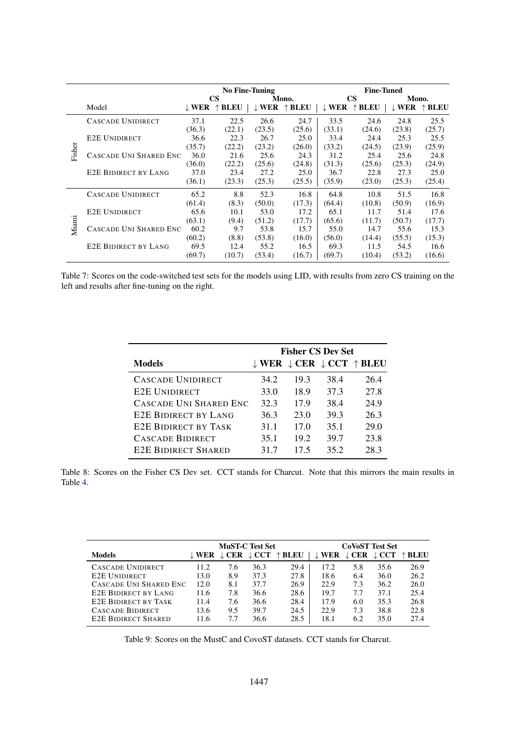<span id="page-12-1"></span>

|        |                             | <b>No Fine-Tuning</b> |                 |             |                 |                  | <b>Fine-Tuned</b> |                  |                 |  |
|--------|-----------------------------|-----------------------|-----------------|-------------|-----------------|------------------|-------------------|------------------|-----------------|--|
|        |                             |                       | <b>CS</b>       |             | Mono.           |                  | <b>CS</b>         | Mono.            |                 |  |
|        | Model                       | $\perp$ WER           | $\uparrow$ BLEU | $\perp$ WER | $\uparrow$ BLEU | $\downarrow$ WER | <b>BLEU</b>       | $\downarrow$ WER | $\uparrow$ BLEU |  |
|        | <b>CASCADE UNIDIRECT</b>    | 37.1                  | 22.5            | 26.6        | 24.7            | 33.5             | 24.6              | 24.8             | 25.5            |  |
|        |                             | (36.3)                | (22.1)          | (23.5)      | (25.6)          | (33.1)           | (24.6)            | (23.8)           | (25.7)          |  |
|        | <b>E2E UNIDIRECT</b>        | 36.6                  | 22.3            | 26.7        | 25.0            | 33.4             | 24.4              | 25.3             | 25.5            |  |
|        |                             | (35.7)                | (22.2)          | (23.2)      | (26.0)          | (33.2)           | (24.5)            | (23.9)           | (25.9)          |  |
| Fisher | CASCADE UNI SHARED ENC      | 36.0                  | 21.6            | 25.6        | 24.3            | 31.2             | 25.4              | 25.6             | 24.8            |  |
|        |                             | (36.0)                | (22.2)          | (25.6)      | (24.8)          | (31.3)           | (25.6)            | (25.3)           | (24.9)          |  |
|        | <b>E2E BIDIRECT BY LANG</b> | 37.0                  | 23.4            | 27.2        | 25.0            | 36.7             | 22.8              | 27.3             | 25.0            |  |
|        |                             | (36.1)                | (23.3)          | (25.3)      | (25.5)          | (35.9)           | (23.0)            | (25.3)           | (25.4)          |  |
|        | CASCADE UNIDIRECT           | 65.2                  | 8.8             | 52.3        | 16.8            | 64.8             | 10.8              | 51.5             | 16.8            |  |
|        |                             | (61.4)                | (8.3)           | (50.0)      | (17.3)          | (64.4)           | (10.8)            | (50.9)           | (16.9)          |  |
|        | <b>E2E UNIDIRECT</b>        | 65.6                  | 10.1            | 53.0        | 17.2            | 65.1             | 11.7              | 51.4             | 17.6            |  |
|        |                             | (63.1)                | (9.4)           | (51.2)      | (17.7)          | (65.6)           | (11.7)            | (50.7)           | (17.7)          |  |
| Miami  | CASCADE UNI SHARED ENC      | 60.2                  | 9.7             | 53.8        | 15.7            | 55.0             | 14.7              | 55.6             | 15.3            |  |
|        |                             | (60.2)                | (8.8)           | (53.8)      | (16.0)          | (56.0)           | (14.4)            | (55.5)           | (15.3)          |  |
|        | <b>E2E BIDIRECT BY LANG</b> | 69.5                  | 12.4            | 55.2        | 16.5            | 69.3             | 11.5              | 54.5             | 16.6            |  |
|        |                             | (69.7)                | (10.7)          | (53.4)      | (16.7)          | (69.7)           | (10.4)            | (53.2)           | (16.6)          |  |

<span id="page-12-2"></span>Table 7: Scores on the code-switched test sets for the models using LID, with results from zero CS training on the left and results after fine-tuning on the right.

|                             | <b>Fisher CS Dev Set</b> |      |      |                                                                    |  |  |  |
|-----------------------------|--------------------------|------|------|--------------------------------------------------------------------|--|--|--|
| <b>Models</b>               |                          |      |      | $\downarrow$ WER $\downarrow$ CER $\downarrow$ CCT $\uparrow$ BLEU |  |  |  |
| <b>CASCADE UNIDIRECT</b>    | 34.2                     | 19.3 | 38.4 | 26.4                                                               |  |  |  |
| <b>E2E UNIDIRECT</b>        | 33.0                     | 18.9 | 37.3 | 27.8                                                               |  |  |  |
| CASCADE UNI SHARED ENC      | 32.3                     | 17.9 | 38.4 | 24.9                                                               |  |  |  |
| <b>E2E BIDIRECT BY LANG</b> | 36.3                     | 23.0 | 39.3 | 26.3                                                               |  |  |  |
| <b>E2E BIDIRECT BY TASK</b> | 31.1                     | 17.0 | 35.1 | 29.0                                                               |  |  |  |
| <b>CASCADE BIDIRECT</b>     | 35.1                     | 19.2 | 39.7 | 23.8                                                               |  |  |  |
| <b>E2E BIDIRECT SHARED</b>  | 317                      | 17.5 | 35.2 | 28.3                                                               |  |  |  |

Table 8: Scores on the Fisher CS Dev set. CCT stands for Charcut. Note that this mirrors the main results in Table [4.](#page-6-1)

<span id="page-12-0"></span>

|                             |        |             | <b>MuST-C Test Set</b> |             | <b>CoVoST Test Set</b> |            |                  |             |
|-----------------------------|--------|-------------|------------------------|-------------|------------------------|------------|------------------|-------------|
| <b>Models</b>               | J. WER | $\perp$ CER | $\downarrow$ CCT       | <b>BLEU</b> | $\perp$ WER            | <b>CER</b> | $\downarrow$ CCT | <b>BLEU</b> |
| CASCADE UNIDIRECT           | 11.2   | 7.6         | 36.3                   | 29.4        | 17.2                   | 5.8        | 35.6             | 26.9        |
| <b>E2E UNIDIRECT</b>        | 13.0   | 8.9         | 37.3                   | 27.8        | 18.6                   | 6.4        | 36.0             | 26.2        |
| CASCADE UNI SHARED ENC      | 12.0   | 8.1         | 37.7                   | 26.9        | 22.9                   | 7.3        | 36.2             | 26.0        |
| <b>E2E BIDIRECT BY LANG</b> | 11.6   | 7.8         | 36.6                   | 28.6        | 19.7                   | 7.7        | 37.1             | 25.4        |
| <b>E2E BIDIRECT BY TASK</b> | 11.4   | 7.6         | 36.6                   | 28.4        | 17.9                   | 6.0        | 35.3             | 26.8        |
| <b>CASCADE BIDIRECT</b>     | 13.6   | 9.5         | 39.7                   | 24.5        | 22.9                   | 7.3        | 38.8             | 22.8        |
| <b>E2E BIDIRECT SHARED</b>  | 11.6   | 7.7         | 36.6                   | 28.5        | 18.1                   | 6.2        | 35.0             | 27.4        |

Table 9: Scores on the MustC and CovoST datasets. CCT stands for Charcut.